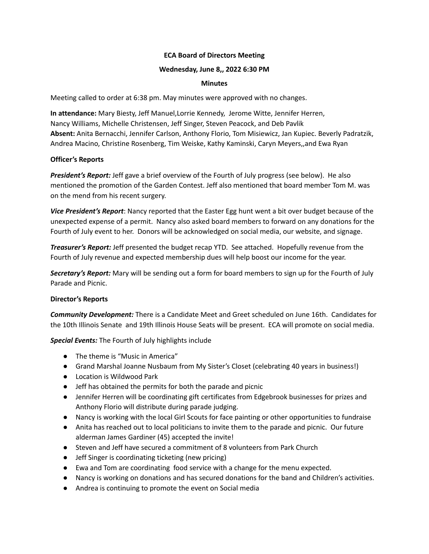# **ECA Board of Directors Meeting**

## **Wednesday, June 8,, 2022 6:30 PM**

### **Minutes**

Meeting called to order at 6:38 pm. May minutes were approved with no changes.

**In attendance:** Mary Biesty, Jeff Manuel,Lorrie Kennedy, Jerome Witte, Jennifer Herren, Nancy Williams, Michelle Christensen, Jeff Singer, Steven Peacock, and Deb Pavlik **Absent:** Anita Bernacchi, Jennifer Carlson, Anthony Florio, Tom Misiewicz, Jan Kupiec. Beverly Padratzik, Andrea Macino, Christine Rosenberg, Tim Weiske, Kathy Kaminski, Caryn Meyers,,and Ewa Ryan

# **Officer's Reports**

*President's Report:* Jeff gave a brief overview of the Fourth of July progress (see below). He also mentioned the promotion of the Garden Contest. Jeff also mentioned that board member Tom M. was on the mend from his recent surgery.

*Vice President's Report*: Nancy reported that the Easter Egg hunt went a bit over budget because of the unexpected expense of a permit. Nancy also asked board members to forward on any donations for the Fourth of July event to her. Donors will be acknowledged on social media, our website, and signage.

*Treasurer's Report:* Jeff presented the budget recap YTD. See attached. Hopefully revenue from the Fourth of July revenue and expected membership dues will help boost our income for the year.

*Secretary's Report:* Mary will be sending out a form for board members to sign up for the Fourth of July Parade and Picnic.

# **Director's Reports**

*Community Development:* There is a Candidate Meet and Greet scheduled on June 16th. Candidates for the 10th Illinois Senate and 19th Illinois House Seats will be present. ECA will promote on social media.

*Special Events:* The Fourth of July highlights include

- The theme is "Music in America"
- Grand Marshal Joanne Nusbaum from My Sister's Closet (celebrating 40 years in business!)
- Location is Wildwood Park
- Jeff has obtained the permits for both the parade and picnic
- Jennifer Herren will be coordinating gift certificates from Edgebrook businesses for prizes and Anthony Florio will distribute during parade judging.
- Nancy is working with the local Girl Scouts for face painting or other opportunities to fundraise
- Anita has reached out to local politicians to invite them to the parade and picnic. Our future alderman James Gardiner (45) accepted the invite!
- Steven and Jeff have secured a commitment of 8 volunteers from Park Church
- Jeff Singer is coordinating ticketing (new pricing)
- Ewa and Tom are coordinating food service with a change for the menu expected.
- Nancy is working on donations and has secured donations for the band and Children's activities.
- Andrea is continuing to promote the event on Social media